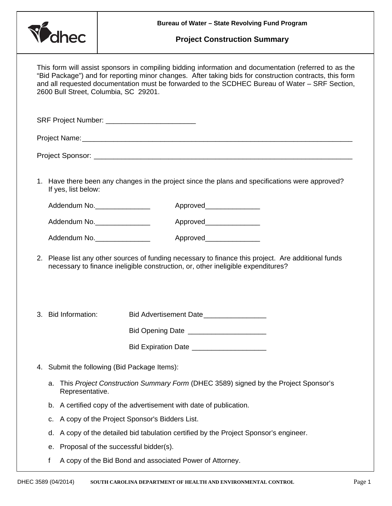

## **Project Construction Summary**

| This form will assist sponsors in compiling bidding information and documentation (referred to as the<br>"Bid Package") and for reporting minor changes. After taking bids for construction contracts, this form<br>and all requested documentation must be forwarded to the SCDHEC Bureau of Water - SRF Section,<br>2600 Bull Street, Columbia, SC 29201. |    |                                                                                                                                                                                         |                                         |  |
|-------------------------------------------------------------------------------------------------------------------------------------------------------------------------------------------------------------------------------------------------------------------------------------------------------------------------------------------------------------|----|-----------------------------------------------------------------------------------------------------------------------------------------------------------------------------------------|-----------------------------------------|--|
| SRF Project Number: _____________________________                                                                                                                                                                                                                                                                                                           |    |                                                                                                                                                                                         |                                         |  |
|                                                                                                                                                                                                                                                                                                                                                             |    |                                                                                                                                                                                         |                                         |  |
|                                                                                                                                                                                                                                                                                                                                                             |    |                                                                                                                                                                                         |                                         |  |
|                                                                                                                                                                                                                                                                                                                                                             |    | 1. Have there been any changes in the project since the plans and specifications were approved?<br>If yes, list below:                                                                  |                                         |  |
|                                                                                                                                                                                                                                                                                                                                                             |    | Addendum No.                                                                                                                                                                            | Approved_________________               |  |
|                                                                                                                                                                                                                                                                                                                                                             |    | Addendum No.                                                                                                                                                                            | Approved________________                |  |
|                                                                                                                                                                                                                                                                                                                                                             |    | Addendum No.                                                                                                                                                                            | Approved_______________                 |  |
|                                                                                                                                                                                                                                                                                                                                                             |    | 2. Please list any other sources of funding necessary to finance this project. Are additional funds<br>necessary to finance ineligible construction, or, other ineligible expenditures? |                                         |  |
|                                                                                                                                                                                                                                                                                                                                                             |    | 3. Bid Information:                                                                                                                                                                     | Bid Advertisement Date                  |  |
|                                                                                                                                                                                                                                                                                                                                                             |    |                                                                                                                                                                                         | Bid Opening Date ______________________ |  |
|                                                                                                                                                                                                                                                                                                                                                             |    |                                                                                                                                                                                         |                                         |  |
| 4.                                                                                                                                                                                                                                                                                                                                                          |    | Submit the following (Bid Package Items):                                                                                                                                               |                                         |  |
|                                                                                                                                                                                                                                                                                                                                                             | а. | This Project Construction Summary Form (DHEC 3589) signed by the Project Sponsor's<br>Representative.                                                                                   |                                         |  |
|                                                                                                                                                                                                                                                                                                                                                             | b. | A certified copy of the advertisement with date of publication.                                                                                                                         |                                         |  |
|                                                                                                                                                                                                                                                                                                                                                             | c. | A copy of the Project Sponsor's Bidders List.                                                                                                                                           |                                         |  |
|                                                                                                                                                                                                                                                                                                                                                             | d. | A copy of the detailed bid tabulation certified by the Project Sponsor's engineer.                                                                                                      |                                         |  |
|                                                                                                                                                                                                                                                                                                                                                             | е. | Proposal of the successful bidder(s).                                                                                                                                                   |                                         |  |
|                                                                                                                                                                                                                                                                                                                                                             | f  | A copy of the Bid Bond and associated Power of Attorney.                                                                                                                                |                                         |  |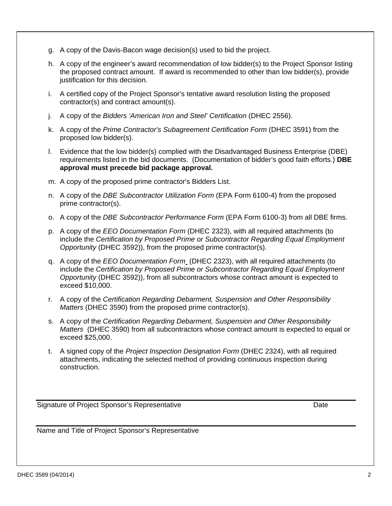- g. A copy of the Davis-Bacon wage decision(s) used to bid the project.
- h. A copy of the engineer's award recommendation of low bidder(s) to the Project Sponsor listing the proposed contract amount. If award is recommended to other than low bidder(s), provide justification for this decision.
- i. A certified copy of the Project Sponsor's tentative award resolution listing the proposed contractor(s) and contract amount(s).
- j. A copy of the *Bidders 'American Iron and Steel' Certification* (DHEC 2556).
- k. A copy of the *Prime Contractor's Subagreement Certification Form* (DHEC 3591) from the proposed low bidder(s).
- l. Evidence that the low bidder(s) complied with the Disadvantaged Business Enterprise (DBE) requirements listed in the bid documents. (Documentation of bidder's good faith efforts.) **DBE approval must precede bid package approval.**
- m. A copy of the proposed prime contractor's Bidders List.
- n. A copy of the *DBE Subcontractor Utilization Form* (EPA Form 6100-4) from the proposed prime contractor(s).
- o. A copy of the *DBE Subcontractor Performance Form* (EPA Form 6100-3) from all DBE firms.
- p. A copy of the *EEO Documentation Form* (DHEC 2323), with all required attachments (to include the *Certification by Proposed Prime or Subcontractor Regarding Equal Employment Opportunity* (DHEC 3592)), from the proposed prime contractor(s).
- q. A copy of the *EEO Documentation Form* (DHEC 2323), with all required attachments (to include the *Certification by Proposed Prime or Subcontractor Regarding Equal Employment Opportunity* (DHEC 3592)), from all subcontractors whose contract amount is expected to exceed \$10,000.
- r. A copy of the *Certification Regarding Debarment, Suspension and Other Responsibility Matters* (DHEC 3590) from the proposed prime contractor(s).
- s. A copy of the *Certification Regarding Debarment, Suspension and Other Responsibility Matters* (DHEC 3590) from all subcontractors whose contract amount is expected to equal or exceed \$25,000.
- t. A signed copy of the *Project Inspection Designation Form* (DHEC 2324), with all required attachments, indicating the selected method of providing continuous inspection during construction.

Signature of Project Sponsor's Representative **Date** Date

Name and Title of Project Sponsor's Representative